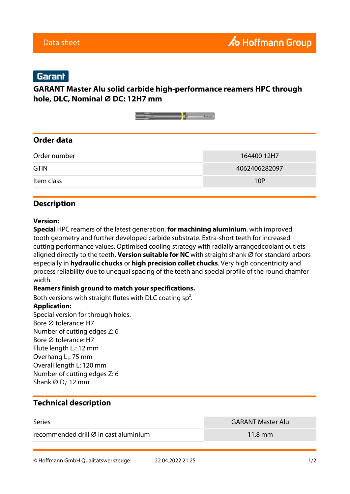# Garant

### **GARANT Master Alu solid carbide high-performance reamers HPC through hole, DLC, Nominal ⌀ DC: 12H7 mm**



### **Order data**

| Order number | 164400 12H7   |  |  |
|--------------|---------------|--|--|
| <b>GTIN</b>  | 4062406282097 |  |  |
| Item class   | 10P           |  |  |

#### **Description**

#### **Version:**

**Special** HPC reamers of the latest generation, **for machining aluminium**, with improved tooth geometry and further developed carbide substrate. Extra-short teeth for increased cutting performance values. Optimised cooling strategy with radially arrangedcoolant outlets aligned directly to the teeth. **Version suitable for NC** with straight shank Ø for standard arbors especially in **hydraulic chucks** or **high precision collet chucks**. Very high concentricity and process reliability due to unequal spacing of the teeth and special profile of the round chamfer width.

#### **Reamers finish ground to match your specifications.**

Both versions with straight flutes with DLC coating sp<sup>2</sup>.

#### **Application:**

Special version for through holes. Bore Ø tolerance: H7 Number of cutting edges Z: 6 Bore ⌀ tolerance: H7 Flute length  $L_c$ : 12 mm Overhang L<sub>1</sub>: 75 mm Overall length L: 120 mm Number of cutting edges Z: 6 Shank  $\varnothing$  D<sub>s</sub>: 12 mm

### **Technical description**

| <b>Series</b>                                     | <b>GARANT Master Alu</b> |
|---------------------------------------------------|--------------------------|
| recommended drill $\varnothing$ in cast aluminium | $11.8 \text{ mm}$        |

© Hoffmann GmbH Qualitätswerkzeuge 22.04.2022 21:25 1/2